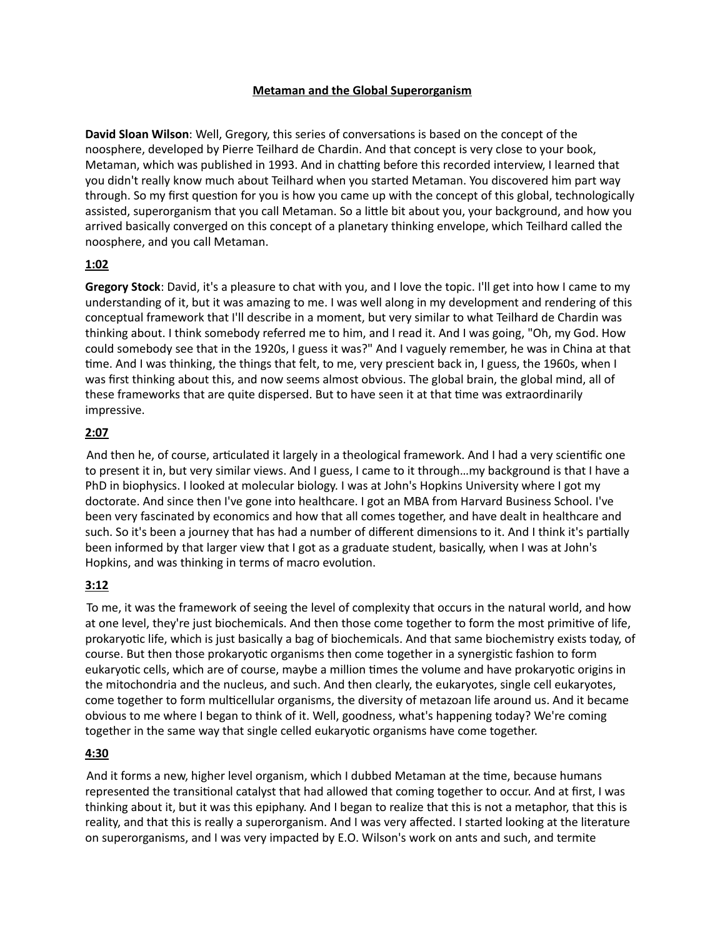## **Metaman and the Global Superorganism**

**David Sloan Wilson:** Well, Gregory, this series of conversations is based on the concept of the noosphere, developed by Pierre Teilhard de Chardin. And that concept is very close to your book, Metaman, which was published in 1993. And in chatting before this recorded interview, I learned that you didn't really know much about Teilhard when you started Metaman. You discovered him part way through. So my first question for you is how you came up with the concept of this global, technologically assisted, superorganism that you call Metaman. So a little bit about you, your background, and how you arrived basically converged on this concept of a planetary thinking envelope, which Teilhard called the noosphere, and you call Metaman.

## **1:02**

**Gregory Stock**: David, it's a pleasure to chat with you, and I love the topic. I'll get into how I came to my understanding of it, but it was amazing to me. I was well along in my development and rendering of this conceptual framework that I'll describe in a moment, but very similar to what Teilhard de Chardin was thinking about. I think somebody referred me to him, and I read it. And I was going, "Oh, my God. How could somebody see that in the 1920s, I guess it was?" And I vaguely remember, he was in China at that time. And I was thinking, the things that felt, to me, very prescient back in, I guess, the 1960s, when I was first thinking about this, and now seems almost obvious. The global brain, the global mind, all of these frameworks that are quite dispersed. But to have seen it at that time was extraordinarily impressive.

## **2:07**

And then he, of course, articulated it largely in a theological framework. And I had a very scientific one to present it in, but very similar views. And I guess, I came to it through…my background is that I have a PhD in biophysics. I looked at molecular biology. I was at John's Hopkins University where I got my doctorate. And since then I've gone into healthcare. I got an MBA from Harvard Business School. I've been very fascinated by economics and how that all comes together, and have dealt in healthcare and such. So it's been a journey that has had a number of different dimensions to it. And I think it's partially been informed by that larger view that I got as a graduate student, basically, when I was at John's Hopkins, and was thinking in terms of macro evolution.

# **3:12**

 To me, it was the framework of seeing the level of complexity that occurs in the natural world, and how at one level, they're just biochemicals. And then those come together to form the most primitive of life, prokaryotic life, which is just basically a bag of biochemicals. And that same biochemistry exists today, of course. But then those prokaryotic organisms then come together in a synergistic fashion to form eukaryotic cells, which are of course, maybe a million times the volume and have prokaryotic origins in the mitochondria and the nucleus, and such. And then clearly, the eukaryotes, single cell eukaryotes, come together to form multicellular organisms, the diversity of metazoan life around us. And it became obvious to me where I began to think of it. Well, goodness, what's happening today? We're coming together in the same way that single celled eukaryotic organisms have come together.

## **4:30**

And it forms a new, higher level organism, which I dubbed Metaman at the time, because humans represented the transitional catalyst that had allowed that coming together to occur. And at first, I was thinking about it, but it was this epiphany. And I began to realize that this is not a metaphor, that this is reality, and that this is really a superorganism. And I was very affected. I started looking at the literature on superorganisms, and I was very impacted by E.O. Wilson's work on ants and such, and termite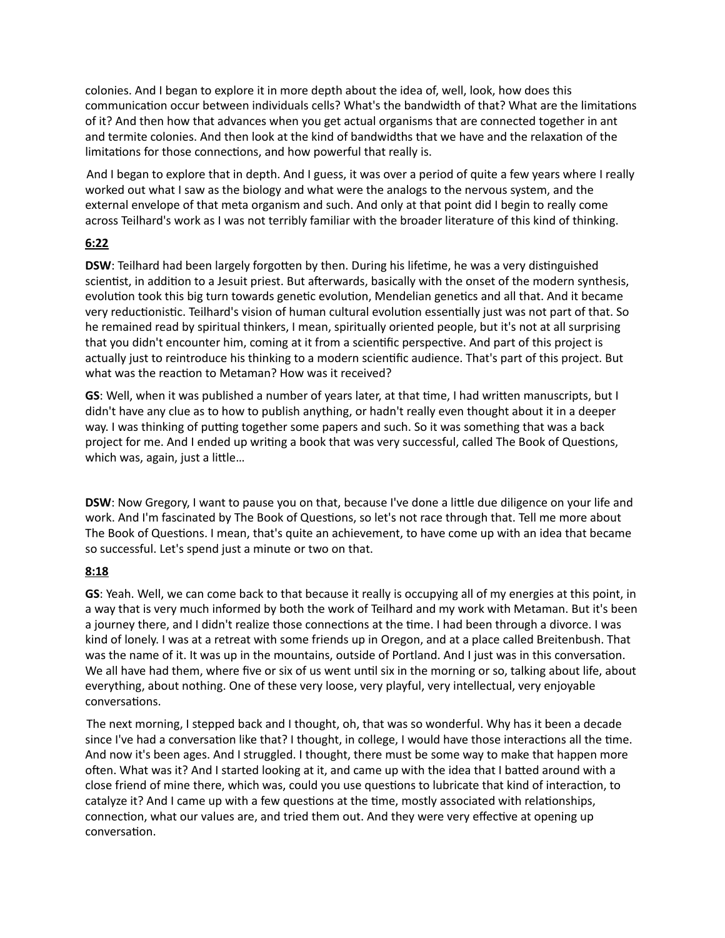colonies. And I began to explore it in more depth about the idea of, well, look, how does this communication occur between individuals cells? What's the bandwidth of that? What are the limitations of it? And then how that advances when you get actual organisms that are connected together in ant and termite colonies. And then look at the kind of bandwidths that we have and the relaxation of the limitations for those connections, and how powerful that really is.

 And I began to explore that in depth. And I guess, it was over a period of quite a few years where I really worked out what I saw as the biology and what were the analogs to the nervous system, and the external envelope of that meta organism and such. And only at that point did I begin to really come across Teilhard's work as I was not terribly familiar with the broader literature of this kind of thinking.

## **6:22**

**DSW**: Teilhard had been largely forgotten by then. During his lifetime, he was a very distinguished scientist, in addition to a Jesuit priest. But afterwards, basically with the onset of the modern synthesis, evolution took this big turn towards genetic evolution, Mendelian genetics and all that. And it became very reductionistic. Teilhard's vision of human cultural evolution essentially just was not part of that. So he remained read by spiritual thinkers, I mean, spiritually oriented people, but it's not at all surprising that you didn't encounter him, coming at it from a scientific perspective. And part of this project is actually just to reintroduce his thinking to a modern scientific audience. That's part of this project. But what was the reaction to Metaman? How was it received?

**GS**: Well, when it was published a number of years later, at that time, I had written manuscripts, but I didn't have any clue as to how to publish anything, or hadn't really even thought about it in a deeper way. I was thinking of putting together some papers and such. So it was something that was a back project for me. And I ended up writing a book that was very successful, called The Book of Questions, which was, again, just a little...

**DSW**: Now Gregory, I want to pause you on that, because I've done a little due diligence on your life and work. And I'm fascinated by The Book of Questions, so let's not race through that. Tell me more about The Book of Questions. I mean, that's quite an achievement, to have come up with an idea that became so successful. Let's spend just a minute or two on that.

## **8:18**

**GS**: Yeah. Well, we can come back to that because it really is occupying all of my energies at this point, in a way that is very much informed by both the work of Teilhard and my work with Metaman. But it's been a journey there, and I didn't realize those connections at the time. I had been through a divorce. I was kind of lonely. I was at a retreat with some friends up in Oregon, and at a place called Breitenbush. That was the name of it. It was up in the mountains, outside of Portland. And I just was in this conversation. We all have had them, where five or six of us went until six in the morning or so, talking about life, about everything, about nothing. One of these very loose, very playful, very intellectual, very enjoyable conversations.

 The next morning, I stepped back and I thought, oh, that was so wonderful. Why has it been a decade since I've had a conversation like that? I thought, in college, I would have those interactions all the time. And now it's been ages. And I struggled. I thought, there must be some way to make that happen more often. What was it? And I started looking at it, and came up with the idea that I batted around with a close friend of mine there, which was, could you use questions to lubricate that kind of interaction, to catalyze it? And I came up with a few questions at the time, mostly associated with relationships, connection, what our values are, and tried them out. And they were very effective at opening up conversation.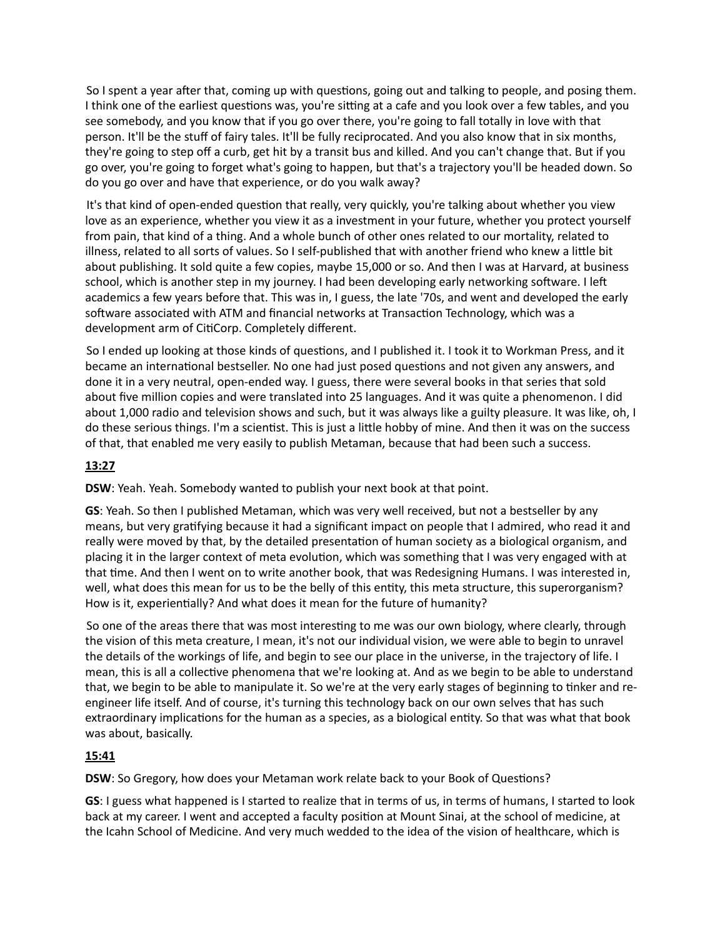So I spent a year after that, coming up with questions, going out and talking to people, and posing them. I think one of the earliest questions was, you're sitting at a cafe and you look over a few tables, and you see somebody, and you know that if you go over there, you're going to fall totally in love with that person. It'll be the stuff of fairy tales. It'll be fully reciprocated. And you also know that in six months, they're going to step off a curb, get hit by a transit bus and killed. And you can't change that. But if you go over, you're going to forget what's going to happen, but that's a trajectory you'll be headed down. So do you go over and have that experience, or do you walk away?

It's that kind of open-ended question that really, very quickly, you're talking about whether you view love as an experience, whether you view it as a investment in your future, whether you protect yourself from pain, that kind of a thing. And a whole bunch of other ones related to our mortality, related to illness, related to all sorts of values. So I self-published that with another friend who knew a little bit about publishing. It sold quite a few copies, maybe 15,000 or so. And then I was at Harvard, at business school, which is another step in my journey. I had been developing early networking software. I left academics a few years before that. This was in, I guess, the late '70s, and went and developed the early software associated with ATM and financial networks at Transaction Technology, which was a development arm of CitiCorp. Completely different.

So I ended up looking at those kinds of questions, and I published it. I took it to Workman Press, and it became an international bestseller. No one had just posed questions and not given any answers, and done it in a very neutral, open-ended way. I guess, there were several books in that series that sold about five million copies and were translated into 25 languages. And it was quite a phenomenon. I did about 1,000 radio and television shows and such, but it was always like a guilty pleasure. It was like, oh, I do these serious things. I'm a scientist. This is just a little hobby of mine. And then it was on the success of that, that enabled me very easily to publish Metaman, because that had been such a success.

## **13:27**

**DSW**: Yeah. Yeah. Somebody wanted to publish your next book at that point.

**GS**: Yeah. So then I published Metaman, which was very well received, but not a bestseller by any means, but very gratifying because it had a significant impact on people that I admired, who read it and really were moved by that, by the detailed presentation of human society as a biological organism, and placing it in the larger context of meta evolution, which was something that I was very engaged with at that time. And then I went on to write another book, that was Redesigning Humans. I was interested in, well, what does this mean for us to be the belly of this entity, this meta structure, this superorganism? How is it, experientially? And what does it mean for the future of humanity?

So one of the areas there that was most interesting to me was our own biology, where clearly, through the vision of this meta creature, I mean, it's not our individual vision, we were able to begin to unravel the details of the workings of life, and begin to see our place in the universe, in the trajectory of life. I mean, this is all a collective phenomena that we're looking at. And as we begin to be able to understand that, we begin to be able to manipulate it. So we're at the very early stages of beginning to tinker and reengineer life itself. And of course, it's turning this technology back on our own selves that has such extraordinary implications for the human as a species, as a biological entity. So that was what that book was about, basically.

## **15:41**

**DSW**: So Gregory, how does your Metaman work relate back to your Book of Questions?

**GS**: I guess what happened is I started to realize that in terms of us, in terms of humans, I started to look back at my career. I went and accepted a faculty position at Mount Sinai, at the school of medicine, at the Icahn School of Medicine. And very much wedded to the idea of the vision of healthcare, which is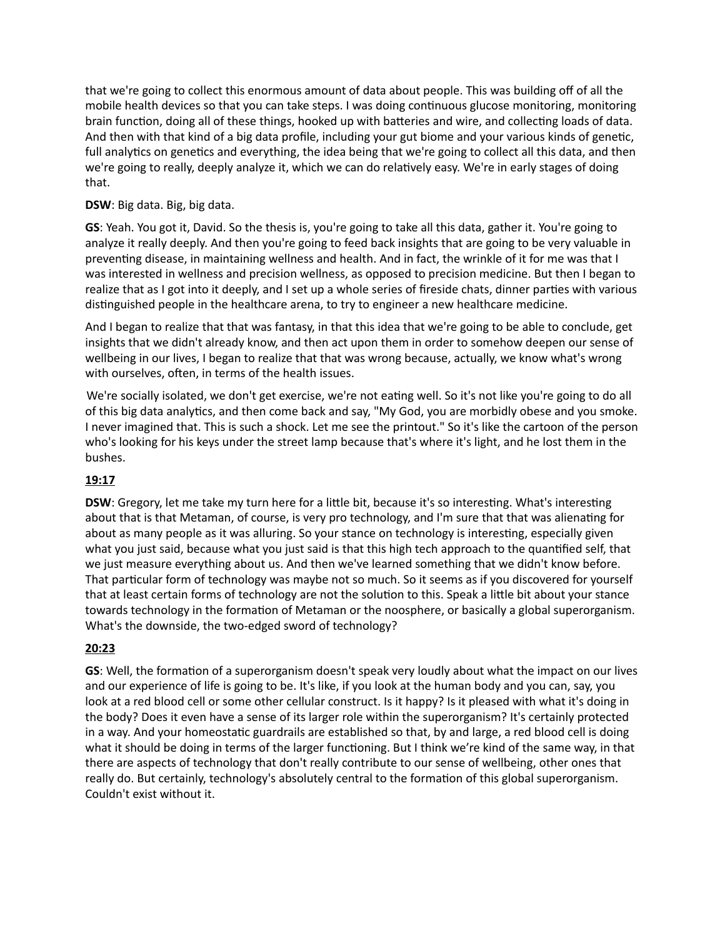that we're going to collect this enormous amount of data about people. This was building off of all the mobile health devices so that you can take steps. I was doing continuous glucose monitoring, monitoring brain function, doing all of these things, hooked up with batteries and wire, and collecting loads of data. And then with that kind of a big data profile, including your gut biome and your various kinds of genetic, full analytics on genetics and everything, the idea being that we're going to collect all this data, and then we're going to really, deeply analyze it, which we can do relatively easy. We're in early stages of doing that.

## **DSW**: Big data. Big, big data.

**GS**: Yeah. You got it, David. So the thesis is, you're going to take all this data, gather it. You're going to analyze it really deeply. And then you're going to feed back insights that are going to be very valuable in preventing disease, in maintaining wellness and health. And in fact, the wrinkle of it for me was that I was interested in wellness and precision wellness, as opposed to precision medicine. But then I began to realize that as I got into it deeply, and I set up a whole series of fireside chats, dinner parties with various distinguished people in the healthcare arena, to try to engineer a new healthcare medicine.

And I began to realize that that was fantasy, in that this idea that we're going to be able to conclude, get insights that we didn't already know, and then act upon them in order to somehow deepen our sense of wellbeing in our lives, I began to realize that that was wrong because, actually, we know what's wrong with ourselves, often, in terms of the health issues.

We're socially isolated, we don't get exercise, we're not eating well. So it's not like you're going to do all of this big data analytics, and then come back and say, "My God, you are morbidly obese and you smoke. I never imagined that. This is such a shock. Let me see the printout." So it's like the cartoon of the person who's looking for his keys under the street lamp because that's where it's light, and he lost them in the bushes.

# **19:17**

**DSW**: Gregory, let me take my turn here for a little bit, because it's so interesting. What's interesting about that is that Metaman, of course, is very pro technology, and I'm sure that that was alienating for about as many people as it was alluring. So your stance on technology is interesting, especially given what you just said, because what you just said is that this high tech approach to the quantified self, that we just measure everything about us. And then we've learned something that we didn't know before. That particular form of technology was maybe not so much. So it seems as if you discovered for yourself that at least certain forms of technology are not the solution to this. Speak a little bit about your stance towards technology in the formation of Metaman or the noosphere, or basically a global superorganism. What's the downside, the two-edged sword of technology?

# **20:23**

**GS**: Well, the formation of a superorganism doesn't speak very loudly about what the impact on our lives and our experience of life is going to be. It's like, if you look at the human body and you can, say, you look at a red blood cell or some other cellular construct. Is it happy? Is it pleased with what it's doing in the body? Does it even have a sense of its larger role within the superorganism? It's certainly protected in a way. And your homeostatic guardrails are established so that, by and large, a red blood cell is doing what it should be doing in terms of the larger functioning. But I think we're kind of the same way, in that there are aspects of technology that don't really contribute to our sense of wellbeing, other ones that really do. But certainly, technology's absolutely central to the formation of this global superorganism. Couldn't exist without it.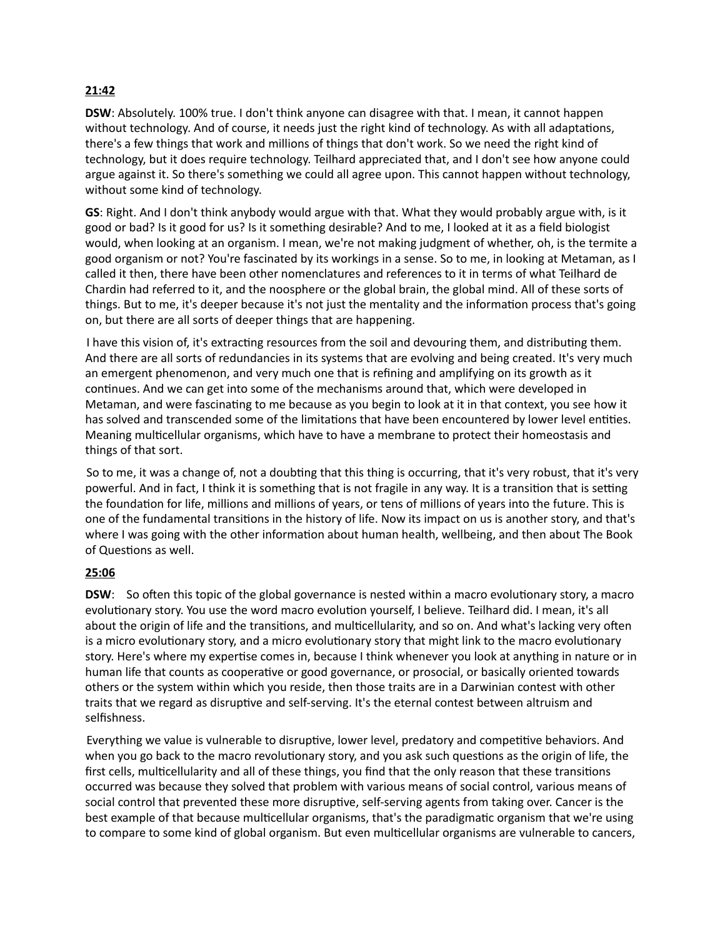# **21:42**

**DSW**: Absolutely. 100% true. I don't think anyone can disagree with that. I mean, it cannot happen without technology. And of course, it needs just the right kind of technology. As with all adaptations, there's a few things that work and millions of things that don't work. So we need the right kind of technology, but it does require technology. Teilhard appreciated that, and I don't see how anyone could argue against it. So there's something we could all agree upon. This cannot happen without technology, without some kind of technology.

**GS**: Right. And I don't think anybody would argue with that. What they would probably argue with, is it good or bad? Is it good for us? Is it something desirable? And to me, I looked at it as a field biologist would, when looking at an organism. I mean, we're not making judgment of whether, oh, is the termite a good organism or not? You're fascinated by its workings in a sense. So to me, in looking at Metaman, as I called it then, there have been other nomenclatures and references to it in terms of what Teilhard de Chardin had referred to it, and the noosphere or the global brain, the global mind. All of these sorts of things. But to me, it's deeper because it's not just the mentality and the information process that's going on, but there are all sorts of deeper things that are happening.

I have this vision of, it's extracting resources from the soil and devouring them, and distributing them. And there are all sorts of redundancies in its systems that are evolving and being created. It's very much an emergent phenomenon, and very much one that is refining and amplifying on its growth as it continues. And we can get into some of the mechanisms around that, which were developed in Metaman, and were fascinating to me because as you begin to look at it in that context, you see how it has solved and transcended some of the limitations that have been encountered by lower level entities. Meaning multicellular organisms, which have to have a membrane to protect their homeostasis and things of that sort.

So to me, it was a change of, not a doubting that this thing is occurring, that it's very robust, that it's very powerful. And in fact, I think it is something that is not fragile in any way. It is a transition that is setting the foundation for life, millions and millions of years, or tens of millions of years into the future. This is one of the fundamental transitions in the history of life. Now its impact on us is another story, and that's where I was going with the other information about human health, wellbeing, and then about The Book of Questions as well.

# **25:06**

**DSW:** So often this topic of the global governance is nested within a macro evolutionary story, a macro evolutionary story. You use the word macro evolution yourself, I believe. Teilhard did. I mean, it's all about the origin of life and the transitions, and multicellularity, and so on. And what's lacking very often is a micro evolutionary story, and a micro evolutionary story that might link to the macro evolutionary story. Here's where my expertise comes in, because I think whenever you look at anything in nature or in human life that counts as cooperative or good governance, or prosocial, or basically oriented towards others or the system within which you reside, then those traits are in a Darwinian contest with other traits that we regard as disruptive and self-serving. It's the eternal contest between altruism and selfishness.

Everything we value is vulnerable to disruptive, lower level, predatory and competitive behaviors. And when you go back to the macro revolutionary story, and you ask such questions as the origin of life, the first cells, multicellularity and all of these things, you find that the only reason that these transitions occurred was because they solved that problem with various means of social control, various means of social control that prevented these more disruptive, self-serving agents from taking over. Cancer is the best example of that because multicellular organisms, that's the paradigmatic organism that we're using to compare to some kind of global organism. But even multicellular organisms are vulnerable to cancers,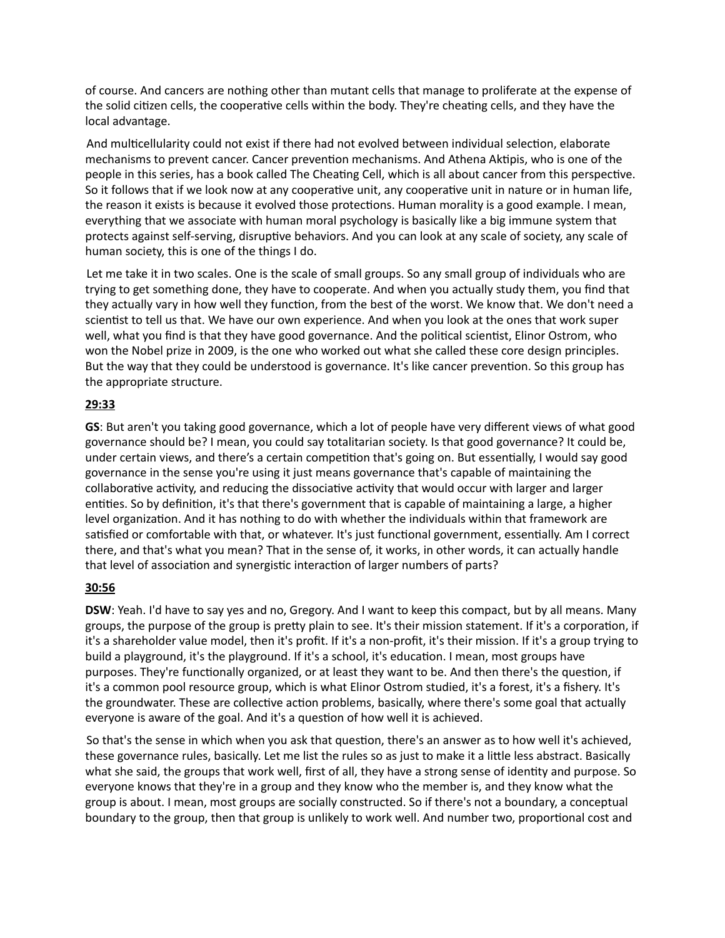of course. And cancers are nothing other than mutant cells that manage to proliferate at the expense of the solid citizen cells, the cooperative cells within the body. They're cheating cells, and they have the local advantage.

And multicellularity could not exist if there had not evolved between individual selection, elaborate mechanisms to prevent cancer. Cancer prevention mechanisms. And Athena Aktipis, who is one of the people in this series, has a book called The Cheating Cell, which is all about cancer from this perspective. So it follows that if we look now at any cooperative unit, any cooperative unit in nature or in human life, the reason it exists is because it evolved those protections. Human morality is a good example. I mean, everything that we associate with human moral psychology is basically like a big immune system that protects against self-serving, disruptive behaviors. And you can look at any scale of society, any scale of human society, this is one of the things I do.

 Let me take it in two scales. One is the scale of small groups. So any small group of individuals who are trying to get something done, they have to cooperate. And when you actually study them, you find that they actually vary in how well they function, from the best of the worst. We know that. We don't need a scientist to tell us that. We have our own experience. And when you look at the ones that work super well, what you find is that they have good governance. And the political scientist, Elinor Ostrom, who won the Nobel prize in 2009, is the one who worked out what she called these core design principles. But the way that they could be understood is governance. It's like cancer prevention. So this group has the appropriate structure.

## **29:33**

**GS**: But aren't you taking good governance, which a lot of people have very different views of what good governance should be? I mean, you could say totalitarian society. Is that good governance? It could be, under certain views, and there's a certain competition that's going on. But essentially, I would say good governance in the sense you're using it just means governance that's capable of maintaining the collaborative activity, and reducing the dissociative activity that would occur with larger and larger entities. So by definition, it's that there's government that is capable of maintaining a large, a higher level organization. And it has nothing to do with whether the individuals within that framework are satisfied or comfortable with that, or whatever. It's just functional government, essentially. Am I correct there, and that's what you mean? That in the sense of, it works, in other words, it can actually handle that level of association and synergistic interaction of larger numbers of parts?

## **30:56**

**DSW**: Yeah. I'd have to say yes and no, Gregory. And I want to keep this compact, but by all means. Many groups, the purpose of the group is pretty plain to see. It's their mission statement. If it's a corporation, if it's a shareholder value model, then it's profit. If it's a non-profit, it's their mission. If it's a group trying to build a playground, it's the playground. If it's a school, it's education. I mean, most groups have purposes. They're functionally organized, or at least they want to be. And then there's the question, if it's a common pool resource group, which is what Elinor Ostrom studied, it's a forest, it's a fishery. It's the groundwater. These are collective action problems, basically, where there's some goal that actually everyone is aware of the goal. And it's a question of how well it is achieved.

So that's the sense in which when you ask that question, there's an answer as to how well it's achieved, these governance rules, basically. Let me list the rules so as just to make it a little less abstract. Basically what she said, the groups that work well, first of all, they have a strong sense of identity and purpose. So everyone knows that they're in a group and they know who the member is, and they know what the group is about. I mean, most groups are socially constructed. So if there's not a boundary, a conceptual boundary to the group, then that group is unlikely to work well. And number two, proportional cost and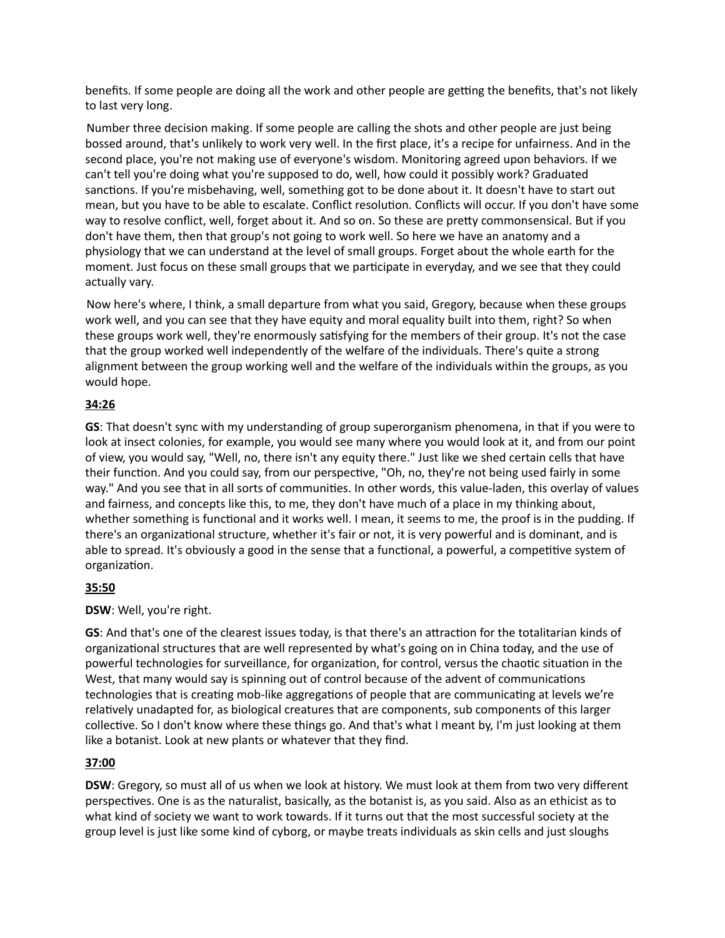benefits. If some people are doing all the work and other people are getting the benefits, that's not likely to last very long.

 Number three decision making. If some people are calling the shots and other people are just being bossed around, that's unlikely to work very well. In the first place, it's a recipe for unfairness. And in the second place, you're not making use of everyone's wisdom. Monitoring agreed upon behaviors. If we can't tell you're doing what you're supposed to do, well, how could it possibly work? Graduated sanctions. If you're misbehaving, well, something got to be done about it. It doesn't have to start out mean, but you have to be able to escalate. Conflict resolution. Conflicts will occur. If you don't have some way to resolve conflict, well, forget about it. And so on. So these are pretty commonsensical. But if you don't have them, then that group's not going to work well. So here we have an anatomy and a physiology that we can understand at the level of small groups. Forget about the whole earth for the moment. Just focus on these small groups that we participate in everyday, and we see that they could actually vary.

 Now here's where, I think, a small departure from what you said, Gregory, because when these groups work well, and you can see that they have equity and moral equality built into them, right? So when these groups work well, they're enormously satisfying for the members of their group. It's not the case that the group worked well independently of the welfare of the individuals. There's quite a strong alignment between the group working well and the welfare of the individuals within the groups, as you would hope.

## **34:26**

**GS**: That doesn't sync with my understanding of group superorganism phenomena, in that if you were to look at insect colonies, for example, you would see many where you would look at it, and from our point of view, you would say, "Well, no, there isn't any equity there." Just like we shed certain cells that have their function. And you could say, from our perspective, "Oh, no, they're not being used fairly in some way." And you see that in all sorts of communities. In other words, this value-laden, this overlay of values and fairness, and concepts like this, to me, they don't have much of a place in my thinking about, whether something is functional and it works well. I mean, it seems to me, the proof is in the pudding. If there's an organizational structure, whether it's fair or not, it is very powerful and is dominant, and is able to spread. It's obviously a good in the sense that a functional, a powerful, a competitive system of organization.

# **35:50**

## **DSW**: Well, you're right.

**GS**: And that's one of the clearest issues today, is that there's an attraction for the totalitarian kinds of organizational structures that are well represented by what's going on in China today, and the use of powerful technologies for surveillance, for organization, for control, versus the chaotic situation in the West, that many would say is spinning out of control because of the advent of communications technologies that is creating mob-like aggregations of people that are communicating at levels we're relatively unadapted for, as biological creatures that are components, sub components of this larger collective. So I don't know where these things go. And that's what I meant by, I'm just looking at them like a botanist. Look at new plants or whatever that they find.

# **37:00**

**DSW**: Gregory, so must all of us when we look at history. We must look at them from two very different perspectives. One is as the naturalist, basically, as the botanist is, as you said. Also as an ethicist as to what kind of society we want to work towards. If it turns out that the most successful society at the group level is just like some kind of cyborg, or maybe treats individuals as skin cells and just sloughs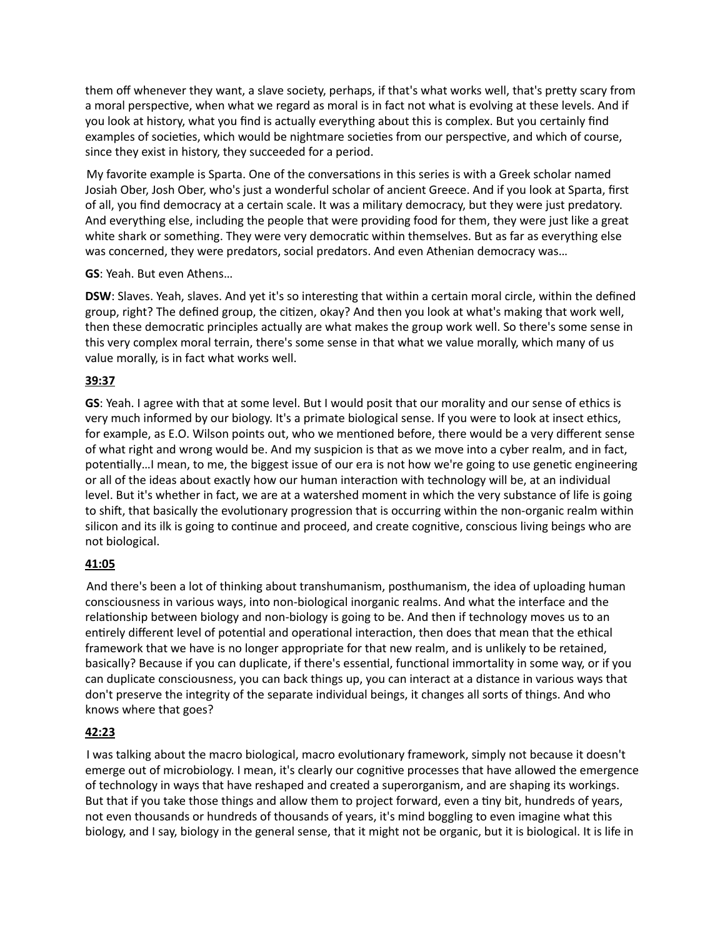them off whenever they want, a slave society, perhaps, if that's what works well, that's pretty scary from a moral perspective, when what we regard as moral is in fact not what is evolving at these levels. And if you look at history, what you find is actually everything about this is complex. But you certainly find examples of societies, which would be nightmare societies from our perspective, and which of course, since they exist in history, they succeeded for a period.

My favorite example is Sparta. One of the conversations in this series is with a Greek scholar named Josiah Ober, Josh Ober, who's just a wonderful scholar of ancient Greece. And if you look at Sparta, first of all, you find democracy at a certain scale. It was a military democracy, but they were just predatory. And everything else, including the people that were providing food for them, they were just like a great white shark or something. They were very democratic within themselves. But as far as everything else was concerned, they were predators, social predators. And even Athenian democracy was…

## **GS**: Yeah. But even Athens…

**DSW**: Slaves. Yeah, slaves. And yet it's so interesting that within a certain moral circle, within the defined group, right? The defined group, the citizen, okay? And then you look at what's making that work well, then these democratic principles actually are what makes the group work well. So there's some sense in this very complex moral terrain, there's some sense in that what we value morally, which many of us value morally, is in fact what works well.

## **39:37**

**GS**: Yeah. I agree with that at some level. But I would posit that our morality and our sense of ethics is very much informed by our biology. It's a primate biological sense. If you were to look at insect ethics, for example, as E.O. Wilson points out, who we mentioned before, there would be a very different sense of what right and wrong would be. And my suspicion is that as we move into a cyber realm, and in fact, potentially…I mean, to me, the biggest issue of our era is not how we're going to use genetic engineering or all of the ideas about exactly how our human interaction with technology will be, at an individual level. But it's whether in fact, we are at a watershed moment in which the very substance of life is going to shift, that basically the evolutionary progression that is occurring within the non-organic realm within silicon and its ilk is going to continue and proceed, and create cognitive, conscious living beings who are not biological.

# **41:05**

 And there's been a lot of thinking about transhumanism, posthumanism, the idea of uploading human consciousness in various ways, into non-biological inorganic realms. And what the interface and the relationship between biology and non-biology is going to be. And then if technology moves us to an entirely different level of potential and operational interaction, then does that mean that the ethical framework that we have is no longer appropriate for that new realm, and is unlikely to be retained, basically? Because if you can duplicate, if there's essential, functional immortality in some way, or if you can duplicate consciousness, you can back things up, you can interact at a distance in various ways that don't preserve the integrity of the separate individual beings, it changes all sorts of things. And who knows where that goes?

# **42:23**

I was talking about the macro biological, macro evolutionary framework, simply not because it doesn't emerge out of microbiology. I mean, it's clearly our cognitive processes that have allowed the emergence of technology in ways that have reshaped and created a superorganism, and are shaping its workings. But that if you take those things and allow them to project forward, even a tiny bit, hundreds of years, not even thousands or hundreds of thousands of years, it's mind boggling to even imagine what this biology, and I say, biology in the general sense, that it might not be organic, but it is biological. It is life in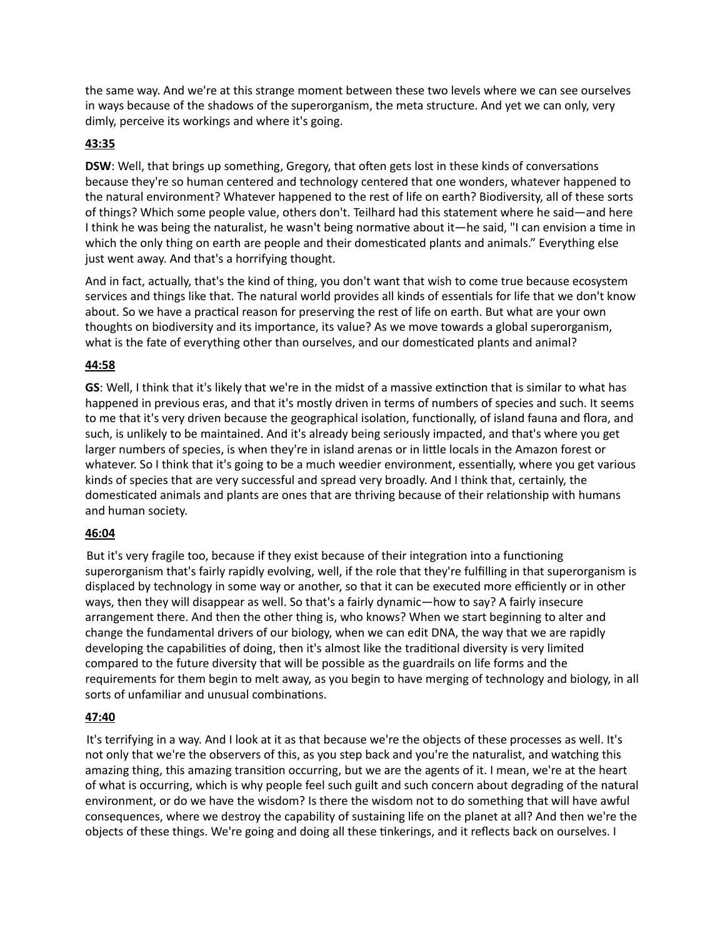the same way. And we're at this strange moment between these two levels where we can see ourselves in ways because of the shadows of the superorganism, the meta structure. And yet we can only, very dimly, perceive its workings and where it's going.

## **43:35**

**DSW**: Well, that brings up something, Gregory, that often gets lost in these kinds of conversations because they're so human centered and technology centered that one wonders, whatever happened to the natural environment? Whatever happened to the rest of life on earth? Biodiversity, all of these sorts of things? Which some people value, others don't. Teilhard had this statement where he said—and here I think he was being the naturalist, he wasn't being normative about it—he said, "I can envision a time in which the only thing on earth are people and their domesticated plants and animals." Everything else just went away. And that's a horrifying thought.

And in fact, actually, that's the kind of thing, you don't want that wish to come true because ecosystem services and things like that. The natural world provides all kinds of essentials for life that we don't know about. So we have a practical reason for preserving the rest of life on earth. But what are your own thoughts on biodiversity and its importance, its value? As we move towards a global superorganism, what is the fate of everything other than ourselves, and our domesticated plants and animal?

#### **44:58**

**GS**: Well, I think that it's likely that we're in the midst of a massive extinction that is similar to what has happened in previous eras, and that it's mostly driven in terms of numbers of species and such. It seems to me that it's very driven because the geographical isolation, functionally, of island fauna and flora, and such, is unlikely to be maintained. And it's already being seriously impacted, and that's where you get larger numbers of species, is when they're in island arenas or in little locals in the Amazon forest or whatever. So I think that it's going to be a much weedier environment, essentially, where you get various kinds of species that are very successful and spread very broadly. And I think that, certainly, the domesticated animals and plants are ones that are thriving because of their relationship with humans and human society.

## **46:04**

But it's very fragile too, because if they exist because of their integration into a functioning superorganism that's fairly rapidly evolving, well, if the role that they're fulfilling in that superorganism is displaced by technology in some way or another, so that it can be executed more efficiently or in other ways, then they will disappear as well. So that's a fairly dynamic—how to say? A fairly insecure arrangement there. And then the other thing is, who knows? When we start beginning to alter and change the fundamental drivers of our biology, when we can edit DNA, the way that we are rapidly developing the capabilities of doing, then it's almost like the traditional diversity is very limited compared to the future diversity that will be possible as the guardrails on life forms and the requirements for them begin to melt away, as you begin to have merging of technology and biology, in all sorts of unfamiliar and unusual combinations.

#### **47:40**

 It's terrifying in a way. And I look at it as that because we're the objects of these processes as well. It's not only that we're the observers of this, as you step back and you're the naturalist, and watching this amazing thing, this amazing transition occurring, but we are the agents of it. I mean, we're at the heart of what is occurring, which is why people feel such guilt and such concern about degrading of the natural environment, or do we have the wisdom? Is there the wisdom not to do something that will have awful consequences, where we destroy the capability of sustaining life on the planet at all? And then we're the objects of these things. We're going and doing all these tinkerings, and it reflects back on ourselves. I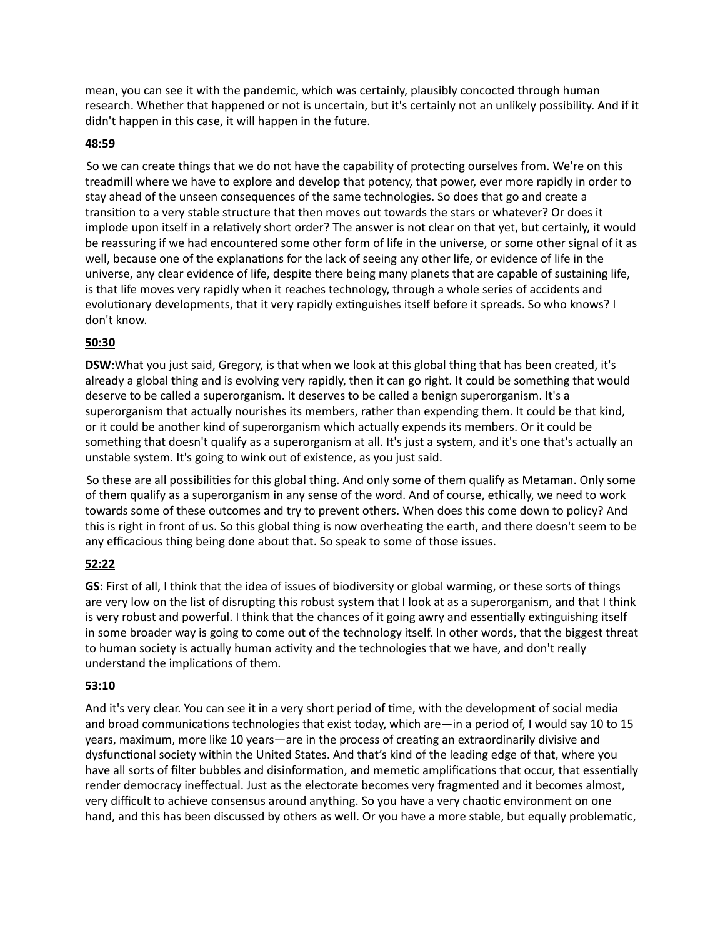mean, you can see it with the pandemic, which was certainly, plausibly concocted through human research. Whether that happened or not is uncertain, but it's certainly not an unlikely possibility. And if it didn't happen in this case, it will happen in the future.

## **48:59**

So we can create things that we do not have the capability of protecting ourselves from. We're on this treadmill where we have to explore and develop that potency, that power, ever more rapidly in order to stay ahead of the unseen consequences of the same technologies. So does that go and create a transition to a very stable structure that then moves out towards the stars or whatever? Or does it implode upon itself in a relatively short order? The answer is not clear on that yet, but certainly, it would be reassuring if we had encountered some other form of life in the universe, or some other signal of it as well, because one of the explanations for the lack of seeing any other life, or evidence of life in the universe, any clear evidence of life, despite there being many planets that are capable of sustaining life, is that life moves very rapidly when it reaches technology, through a whole series of accidents and evolutionary developments, that it very rapidly extinguishes itself before it spreads. So who knows? I don't know.

# **50:30**

**DSW**:What you just said, Gregory, is that when we look at this global thing that has been created, it's already a global thing and is evolving very rapidly, then it can go right. It could be something that would deserve to be called a superorganism. It deserves to be called a benign superorganism. It's a superorganism that actually nourishes its members, rather than expending them. It could be that kind, or it could be another kind of superorganism which actually expends its members. Or it could be something that doesn't qualify as a superorganism at all. It's just a system, and it's one that's actually an unstable system. It's going to wink out of existence, as you just said.

So these are all possibilities for this global thing. And only some of them qualify as Metaman. Only some of them qualify as a superorganism in any sense of the word. And of course, ethically, we need to work towards some of these outcomes and try to prevent others. When does this come down to policy? And this is right in front of us. So this global thing is now overheating the earth, and there doesn't seem to be any efficacious thing being done about that. So speak to some of those issues.

# **52:22**

**GS**: First of all, I think that the idea of issues of biodiversity or global warming, or these sorts of things are very low on the list of disrupting this robust system that I look at as a superorganism, and that I think is very robust and powerful. I think that the chances of it going awry and essentially extinguishing itself in some broader way is going to come out of the technology itself. In other words, that the biggest threat to human society is actually human activity and the technologies that we have, and don't really understand the implications of them.

# **53:10**

And it's very clear. You can see it in a very short period of time, with the development of social media and broad communications technologies that exist today, which are—in a period of, I would say 10 to 15 years, maximum, more like 10 years—are in the process of creating an extraordinarily divisive and dysfunctional society within the United States. And that's kind of the leading edge of that, where you have all sorts of filter bubbles and disinformation, and memetic amplifications that occur, that essentially render democracy ineffectual. Just as the electorate becomes very fragmented and it becomes almost, very difficult to achieve consensus around anything. So you have a very chaotic environment on one hand, and this has been discussed by others as well. Or you have a more stable, but equally problematic,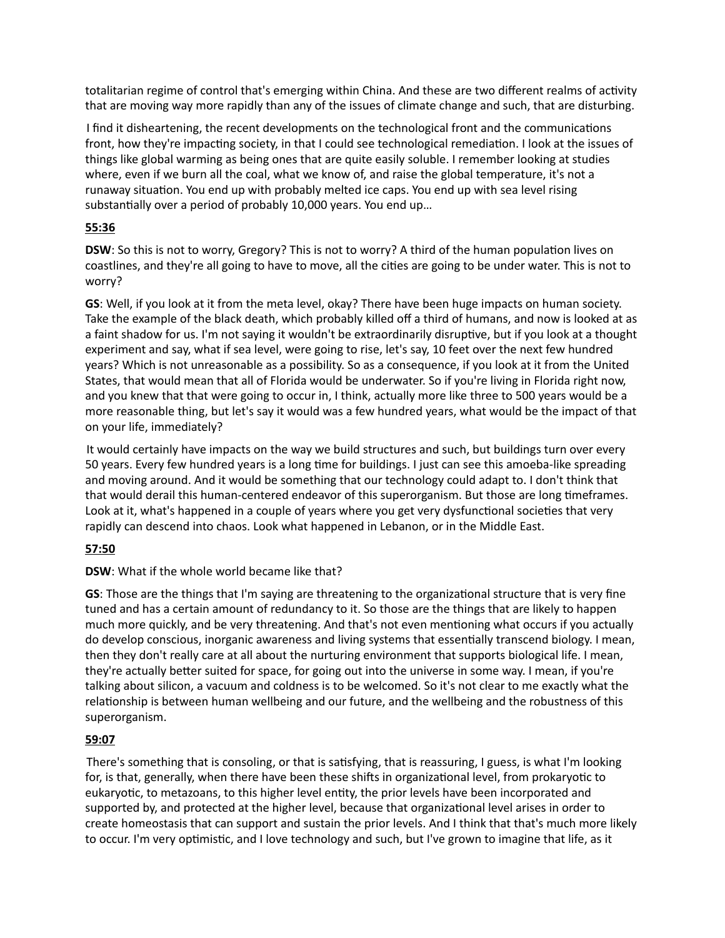totalitarian regime of control that's emerging within China. And these are two different realms of activity that are moving way more rapidly than any of the issues of climate change and such, that are disturbing.

I find it disheartening, the recent developments on the technological front and the communications front, how they're impacting society, in that I could see technological remediation. I look at the issues of things like global warming as being ones that are quite easily soluble. I remember looking at studies where, even if we burn all the coal, what we know of, and raise the global temperature, it's not a runaway situation. You end up with probably melted ice caps. You end up with sea level rising substantially over a period of probably 10,000 years. You end up...

## **55:36**

**DSW**: So this is not to worry, Gregory? This is not to worry? A third of the human population lives on coastlines, and they're all going to have to move, all the cities are going to be under water. This is not to worry?

**GS**: Well, if you look at it from the meta level, okay? There have been huge impacts on human society. Take the example of the black death, which probably killed off a third of humans, and now is looked at as a faint shadow for us. I'm not saying it wouldn't be extraordinarily disruptive, but if you look at a thought experiment and say, what if sea level, were going to rise, let's say, 10 feet over the next few hundred years? Which is not unreasonable as a possibility. So as a consequence, if you look at it from the United States, that would mean that all of Florida would be underwater. So if you're living in Florida right now, and you knew that that were going to occur in, I think, actually more like three to 500 years would be a more reasonable thing, but let's say it would was a few hundred years, what would be the impact of that on your life, immediately?

 It would certainly have impacts on the way we build structures and such, but buildings turn over every 50 years. Every few hundred years is a long time for buildings. I just can see this amoeba-like spreading and moving around. And it would be something that our technology could adapt to. I don't think that that would derail this human-centered endeavor of this superorganism. But those are long timeframes. Look at it, what's happened in a couple of years where you get very dysfunctional societies that very rapidly can descend into chaos. Look what happened in Lebanon, or in the Middle East.

# **57:50**

## **DSW**: What if the whole world became like that?

**GS**: Those are the things that I'm saying are threatening to the organizational structure that is very fine tuned and has a certain amount of redundancy to it. So those are the things that are likely to happen much more quickly, and be very threatening. And that's not even mentioning what occurs if you actually do develop conscious, inorganic awareness and living systems that essentially transcend biology. I mean, then they don't really care at all about the nurturing environment that supports biological life. I mean, they're actually better suited for space, for going out into the universe in some way. I mean, if you're talking about silicon, a vacuum and coldness is to be welcomed. So it's not clear to me exactly what the relationship is between human wellbeing and our future, and the wellbeing and the robustness of this superorganism.

# **59:07**

There's something that is consoling, or that is satisfying, that is reassuring, I guess, is what I'm looking for, is that, generally, when there have been these shifts in organizational level, from prokaryotic to eukaryotic, to metazoans, to this higher level entity, the prior levels have been incorporated and supported by, and protected at the higher level, because that organizational level arises in order to create homeostasis that can support and sustain the prior levels. And I think that that's much more likely to occur. I'm very optimistic, and I love technology and such, but I've grown to imagine that life, as it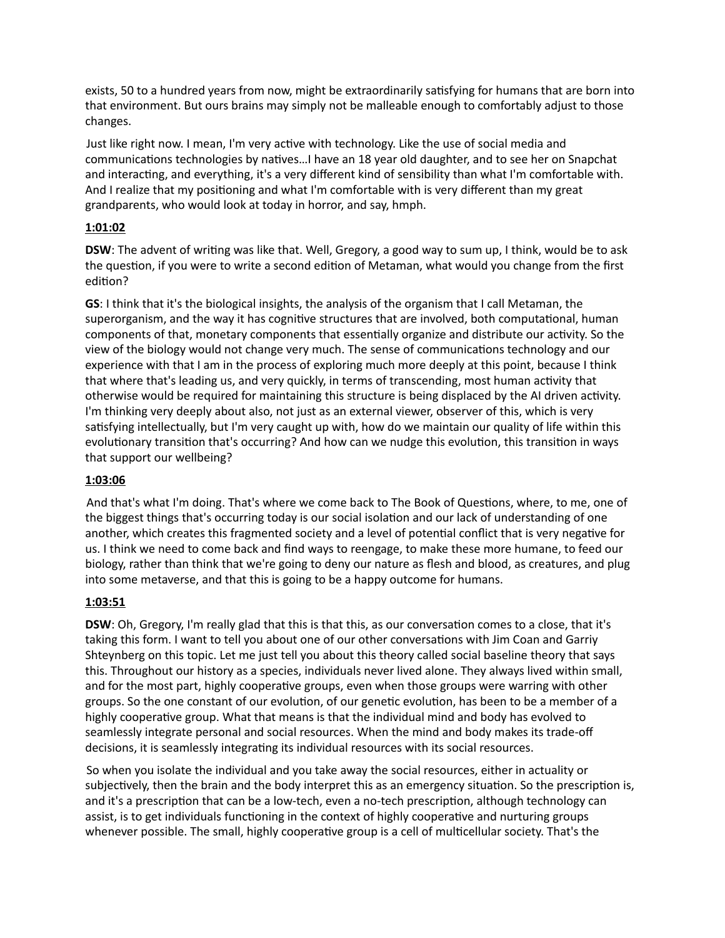exists, 50 to a hundred years from now, might be extraordinarily satisfying for humans that are born into that environment. But ours brains may simply not be malleable enough to comfortably adjust to those changes.

Just like right now. I mean, I'm very active with technology. Like the use of social media and communications technologies by natives...I have an 18 year old daughter, and to see her on Snapchat and interacting, and everything, it's a very different kind of sensibility than what I'm comfortable with. And I realize that my positioning and what I'm comfortable with is very different than my great grandparents, who would look at today in horror, and say, hmph.

## **1:01:02**

**DSW**: The advent of writing was like that. Well, Gregory, a good way to sum up, I think, would be to ask the question, if you were to write a second edition of Metaman, what would you change from the first edition?

**GS**: I think that it's the biological insights, the analysis of the organism that I call Metaman, the superorganism, and the way it has cognitive structures that are involved, both computational, human components of that, monetary components that essentially organize and distribute our activity. So the view of the biology would not change very much. The sense of communications technology and our experience with that I am in the process of exploring much more deeply at this point, because I think that where that's leading us, and very quickly, in terms of transcending, most human activity that otherwise would be required for maintaining this structure is being displaced by the AI driven activity. I'm thinking very deeply about also, not just as an external viewer, observer of this, which is very satisfying intellectually, but I'm very caught up with, how do we maintain our quality of life within this evolutionary transition that's occurring? And how can we nudge this evolution, this transition in ways that support our wellbeing?

## **1:03:06**

And that's what I'm doing. That's where we come back to The Book of Questions, where, to me, one of the biggest things that's occurring today is our social isolation and our lack of understanding of one another, which creates this fragmented society and a level of potential conflict that is very negative for us. I think we need to come back and find ways to reengage, to make these more humane, to feed our biology, rather than think that we're going to deny our nature as flesh and blood, as creatures, and plug into some metaverse, and that this is going to be a happy outcome for humans.

## **1:03:51**

**DSW**: Oh, Gregory, I'm really glad that this is that this, as our conversation comes to a close, that it's taking this form. I want to tell you about one of our other conversations with Jim Coan and Garriy Shteynberg on this topic. Let me just tell you about this theory called social baseline theory that says this. Throughout our history as a species, individuals never lived alone. They always lived within small, and for the most part, highly cooperative groups, even when those groups were warring with other groups. So the one constant of our evolution, of our genetic evolution, has been to be a member of a highly cooperative group. What that means is that the individual mind and body has evolved to seamlessly integrate personal and social resources. When the mind and body makes its trade-off decisions, it is seamlessly integrating its individual resources with its social resources.

 So when you isolate the individual and you take away the social resources, either in actuality or subjectively, then the brain and the body interpret this as an emergency situation. So the prescription is, and it's a prescription that can be a low-tech, even a no-tech prescription, although technology can assist, is to get individuals functioning in the context of highly cooperative and nurturing groups whenever possible. The small, highly cooperative group is a cell of multicellular society. That's the